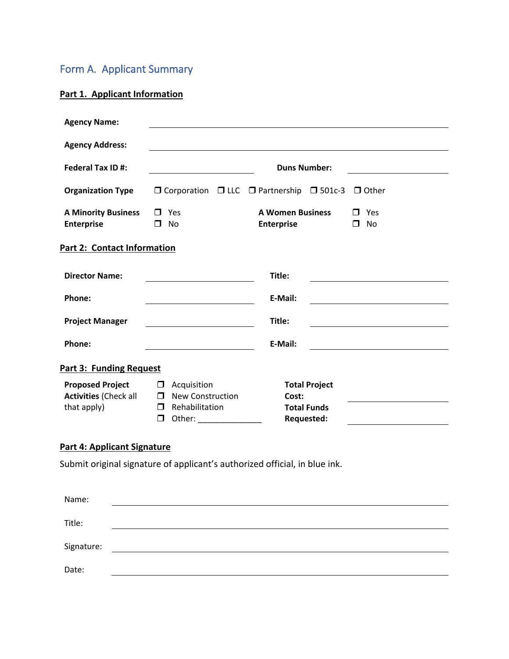## Form A. Applicant Summary

### **Part 1. Applicant Information**

| <b>Agency Name:</b>                             |                                                                                                                               |                                                                             |                                  |                            |  |
|-------------------------------------------------|-------------------------------------------------------------------------------------------------------------------------------|-----------------------------------------------------------------------------|----------------------------------|----------------------------|--|
| <b>Agency Address:</b>                          |                                                                                                                               |                                                                             |                                  |                            |  |
| <b>Federal Tax ID#:</b>                         |                                                                                                                               | <b>Duns Number:</b>                                                         |                                  |                            |  |
| <b>Organization Type</b>                        |                                                                                                                               | $\Box$ Corporation $\Box$ LLC $\Box$ Partnership $\Box$ 501c-3 $\Box$ Other |                                  |                            |  |
| <b>A Minority Business</b><br><b>Enterprise</b> | $\Box$ Yes<br>No<br>$\Box$                                                                                                    | <b>A Women Business</b><br><b>Enterprise</b>                                |                                  | $\Box$ Yes<br>No<br>$\Box$ |  |
| Part 2: Contact Information                     |                                                                                                                               |                                                                             |                                  |                            |  |
| <b>Director Name:</b>                           |                                                                                                                               | Title:                                                                      |                                  |                            |  |
| Phone:                                          | <u> 1980 - Johann Barn, mars ann an t-Amhain Aonaich an t-Aonaich an t-Aonaich ann an t-Aonaich ann an t-Aonaich</u>          | E-Mail:                                                                     |                                  |                            |  |
| <b>Project Manager</b>                          |                                                                                                                               | Title:                                                                      |                                  |                            |  |
| Phone:                                          |                                                                                                                               | E-Mail:                                                                     |                                  |                            |  |
| <b>Part 3: Funding Request</b>                  |                                                                                                                               |                                                                             |                                  |                            |  |
| <b>Proposed Project</b>                         | Acquisition<br>and the property of the property of the property of the property of the property of the property of the proper |                                                                             | <b>Total Project</b>             |                            |  |
| <b>Activities (Check all</b>                    | <b>New Construction</b><br>$\Box$                                                                                             | Cost:                                                                       |                                  |                            |  |
| that apply)                                     | Rehabilitation<br>$\Box$<br>□                                                                                                 |                                                                             | <b>Total Funds</b><br>Requested: |                            |  |

### **Part 4: Applicant Signature**

Submit original signature of applicant's authorized official, in blue ink.

| Name:      |  |
|------------|--|
| Title:     |  |
|            |  |
| Signature: |  |
| Date:      |  |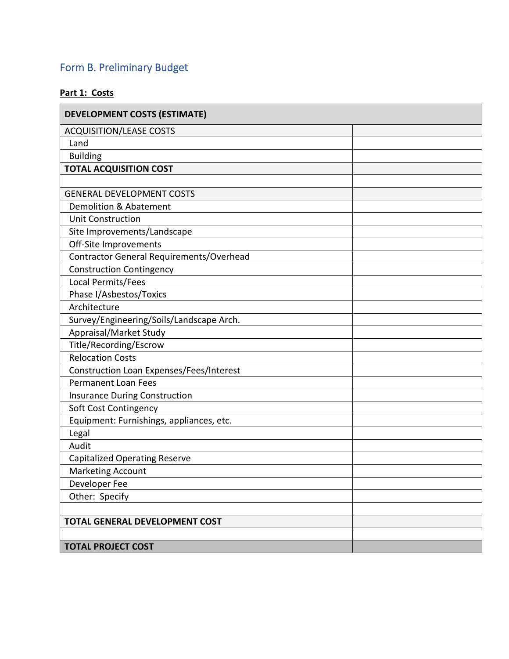# Form B. Preliminary Budget

### **Part 1: Costs**

| <b>DEVELOPMENT COSTS (ESTIMATE)</b>      |  |
|------------------------------------------|--|
| <b>ACQUISITION/LEASE COSTS</b>           |  |
| Land                                     |  |
| <b>Building</b>                          |  |
| <b>TOTAL ACQUISITION COST</b>            |  |
|                                          |  |
| <b>GENERAL DEVELOPMENT COSTS</b>         |  |
| Demolition & Abatement                   |  |
| <b>Unit Construction</b>                 |  |
| Site Improvements/Landscape              |  |
| Off-Site Improvements                    |  |
| Contractor General Requirements/Overhead |  |
| <b>Construction Contingency</b>          |  |
| Local Permits/Fees                       |  |
| Phase I/Asbestos/Toxics                  |  |
| Architecture                             |  |
| Survey/Engineering/Soils/Landscape Arch. |  |
| Appraisal/Market Study                   |  |
| Title/Recording/Escrow                   |  |
| <b>Relocation Costs</b>                  |  |
| Construction Loan Expenses/Fees/Interest |  |
| <b>Permanent Loan Fees</b>               |  |
| <b>Insurance During Construction</b>     |  |
| Soft Cost Contingency                    |  |
| Equipment: Furnishings, appliances, etc. |  |
| Legal                                    |  |
| Audit                                    |  |
| <b>Capitalized Operating Reserve</b>     |  |
| <b>Marketing Account</b>                 |  |
| Developer Fee                            |  |
| Other: Specify                           |  |
|                                          |  |
| <b>TOTAL GENERAL DEVELOPMENT COST</b>    |  |
|                                          |  |
| <b>TOTAL PROJECT COST</b>                |  |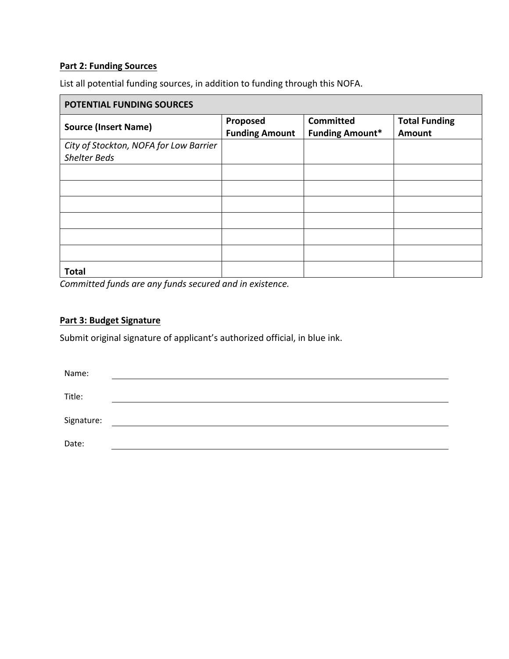### **Part 2: Funding Sources**

List all potential funding sources, in addition to funding through this NOFA.

| POTENTIAL FUNDING SOURCES                                     |                                   |                                            |                                |  |  |
|---------------------------------------------------------------|-----------------------------------|--------------------------------------------|--------------------------------|--|--|
| <b>Source (Insert Name)</b>                                   | Proposed<br><b>Funding Amount</b> | <b>Committed</b><br><b>Funding Amount*</b> | <b>Total Funding</b><br>Amount |  |  |
| City of Stockton, NOFA for Low Barrier<br><b>Shelter Beds</b> |                                   |                                            |                                |  |  |
|                                                               |                                   |                                            |                                |  |  |
|                                                               |                                   |                                            |                                |  |  |
|                                                               |                                   |                                            |                                |  |  |
|                                                               |                                   |                                            |                                |  |  |
|                                                               |                                   |                                            |                                |  |  |
|                                                               |                                   |                                            |                                |  |  |
| <b>Total</b>                                                  |                                   |                                            |                                |  |  |

*Committed funds are any funds secured and in existence.*

### **Part 3: Budget Signature**

Submit original signature of applicant's authorized official, in blue ink.

| Name:      |  |
|------------|--|
|            |  |
| Title:     |  |
| Signature: |  |
|            |  |
| Date:      |  |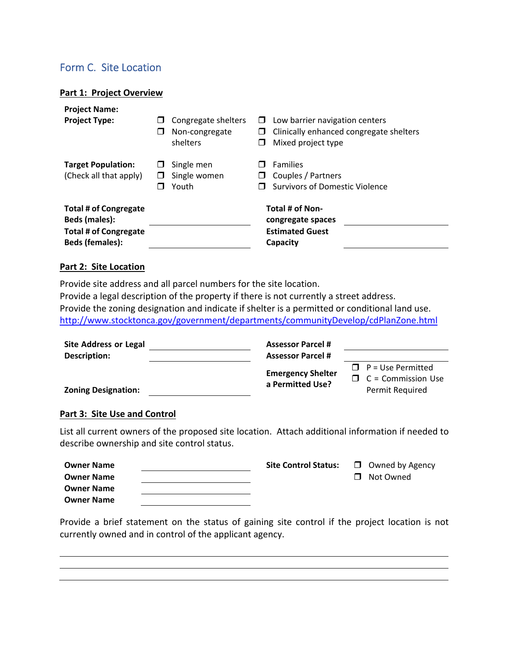### Form C. Site Location

#### **Part 1: Project Overview**

| <b>Project Name:</b><br><b>Project Type:</b>                                                                   | H | Congregate shelters<br>Non-congregate<br>shelters | $\Box$<br>□<br>□ | Low barrier navigation centers<br>Clinically enhanced congregate shelters<br>Mixed project type |
|----------------------------------------------------------------------------------------------------------------|---|---------------------------------------------------|------------------|-------------------------------------------------------------------------------------------------|
| <b>Target Population:</b><br>(Check all that apply)                                                            |   | Single men<br>Single women<br>Youth               | $\Box$           | <b>Families</b><br>Couples / Partners<br><b>Survivors of Domestic Violence</b>                  |
| <b>Total # of Congregate</b><br><b>Beds (males):</b><br><b>Total # of Congregate</b><br><b>Beds (females):</b> |   |                                                   |                  | Total # of Non-<br>congregate spaces<br><b>Estimated Guest</b><br>Capacity                      |

#### **Part 2: Site Location**

Provide site address and all parcel numbers for the site location.

Provide a legal description of the property if there is not currently a street address. Provide the zoning designation and indicate if shelter is a permitted or conditional land use. http://www.stocktonca.gov/government/departments/communityDevelop/cdPlanZone.html

| <b>Site Address or Legal</b> | <b>Assessor Parcel #</b>                     |                                                                                 |
|------------------------------|----------------------------------------------|---------------------------------------------------------------------------------|
| Description:                 | <b>Assessor Parcel #</b>                     |                                                                                 |
| <b>Zoning Designation:</b>   | <b>Emergency Shelter</b><br>a Permitted Use? | $\Box$ P = Use Permitted<br>$\Box$ C = Commission Use<br><b>Permit Required</b> |

#### **Part 3: Site Use and Control**

List all current owners of the proposed site location. Attach additional information if needed to describe ownership and site control status.

| <b>Owner Name</b> | <b>Site Control Status:</b> | $\Box$ Owned by Agency |
|-------------------|-----------------------------|------------------------|
| <b>Owner Name</b> |                             | □ Not Owned            |
| <b>Owner Name</b> |                             |                        |
| <b>Owner Name</b> |                             |                        |

Provide a brief statement on the status of gaining site control if the project location is not currently owned and in control of the applicant agency.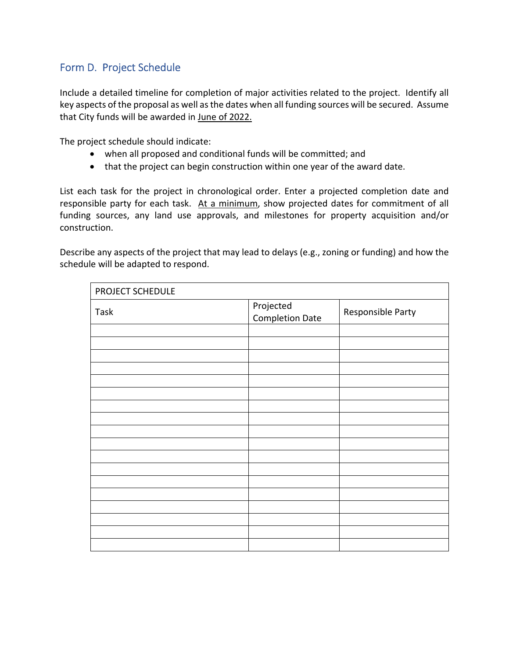### Form D. Project Schedule

Include a detailed timeline for completion of major activities related to the project. Identify all key aspects of the proposal as well as the dates when all funding sources will be secured. Assume that City funds will be awarded in June of 2022.

The project schedule should indicate:

- when all proposed and conditional funds will be committed; and
- that the project can begin construction within one year of the award date.

List each task for the project in chronological order. Enter a projected completion date and responsible party for each task. At a minimum, show projected dates for commitment of all funding sources, any land use approvals, and milestones for property acquisition and/or construction.

Describe any aspects of the project that may lead to delays (e.g., zoning or funding) and how the schedule will be adapted to respond.

| PROJECT SCHEDULE |                                     |                   |  |  |  |
|------------------|-------------------------------------|-------------------|--|--|--|
| Task             | Projected<br><b>Completion Date</b> | Responsible Party |  |  |  |
|                  |                                     |                   |  |  |  |
|                  |                                     |                   |  |  |  |
|                  |                                     |                   |  |  |  |
|                  |                                     |                   |  |  |  |
|                  |                                     |                   |  |  |  |
|                  |                                     |                   |  |  |  |
|                  |                                     |                   |  |  |  |
|                  |                                     |                   |  |  |  |
|                  |                                     |                   |  |  |  |
|                  |                                     |                   |  |  |  |
|                  |                                     |                   |  |  |  |
|                  |                                     |                   |  |  |  |
|                  |                                     |                   |  |  |  |
|                  |                                     |                   |  |  |  |
|                  |                                     |                   |  |  |  |
|                  |                                     |                   |  |  |  |
|                  |                                     |                   |  |  |  |
|                  |                                     |                   |  |  |  |